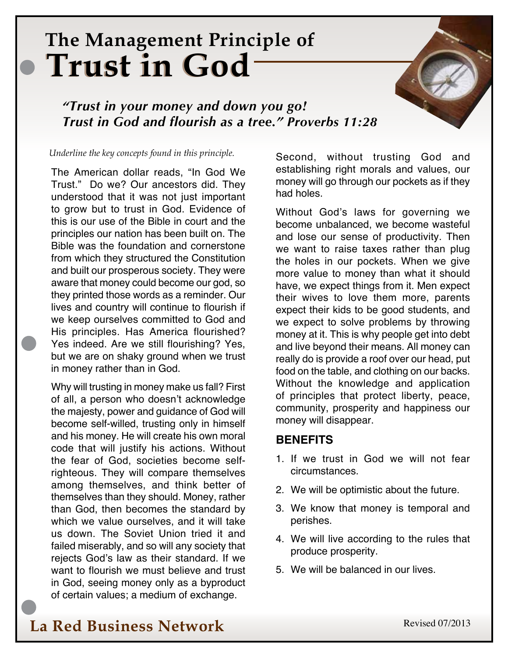# **The Management Principle of Trust in God Trust in God**

*"Trust in your money and down you go! Trust in God and flourish as a tree." Proverbs 11:28*

#### *Underline the key concepts found in this principle.*

The American dollar reads, "In God We Trust." Do we? Our ancestors did. They understood that it was not just important to grow but to trust in God. Evidence of this is our use of the Bible in court and the principles our nation has been built on. The Bible was the foundation and cornerstone from which they structured the Constitution and built our prosperous society. They were aware that money could become our god, so they printed those words as a reminder. Our lives and country will continue to flourish if we keep ourselves committed to God and His principles. Has America flourished? Yes indeed. Are we still flourishing? Yes, but we are on shaky ground when we trust in money rather than in God.

Why will trusting in money make us fall? First of all, a person who doesn't acknowledge the majesty, power and guidance of God will become self-willed, trusting only in himself and his money. He will create his own moral code that will justify his actions. Without the fear of God, societies become selfrighteous. They will compare themselves among themselves, and think better of themselves than they should. Money, rather than God, then becomes the standard by which we value ourselves, and it will take us down. The Soviet Union tried it and failed miserably, and so will any society that rejects God's law as their standard. If we want to flourish we must believe and trust in God, seeing money only as a byproduct of certain values; a medium of exchange.

Second, without trusting God and establishing right morals and values, our money will go through our pockets as if they had holes.

Without God's laws for governing we become unbalanced, we become wasteful and lose our sense of productivity. Then we want to raise taxes rather than plug the holes in our pockets. When we give more value to money than what it should have, we expect things from it. Men expect their wives to love them more, parents expect their kids to be good students, and we expect to solve problems by throwing money at it. This is why people get into debt and live beyond their means. All money can really do is provide a roof over our head, put food on the table, and clothing on our backs. Without the knowledge and application of principles that protect liberty, peace, community, prosperity and happiness our money will disappear.

### **Benefits**

- 1. If we trust in God we will not fear circumstances.
- 2. We will be optimistic about the future.
- 3. We know that money is temporal and perishes.
- 4. We will live according to the rules that produce prosperity.
- 5. We will be balanced in our lives.

## **La Red Business Network**